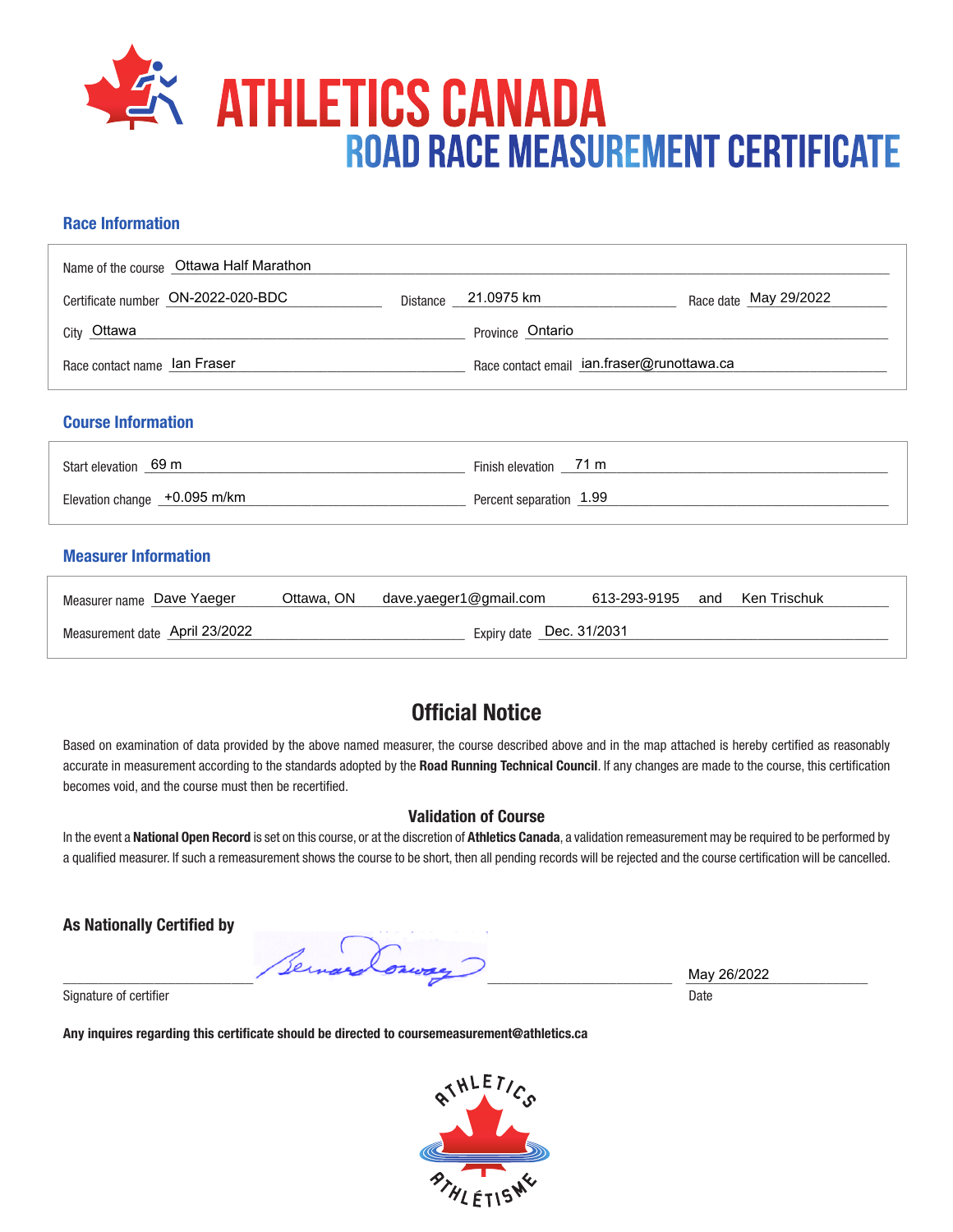

#### **Race Information**

| Name of the course   Ottawa Half Marathon |          |                                            |                       |  |
|-------------------------------------------|----------|--------------------------------------------|-----------------------|--|
| Certificate number ON-2022-020-BDC        | Distance | 21.0975 km                                 | Race date May 29/2022 |  |
| City Ottawa                               |          | Province Ontario                           |                       |  |
| Race contact name lan Fraser              |          | Race contact email ian.fraser@runottawa.ca |                       |  |
| <b>Course Information</b>                 |          |                                            |                       |  |
| Start elevation 69 m                      |          | Finish elevation 71 m                      |                       |  |
| Elevation change +0.095 m/km              |          | Percent separation 1.99                    |                       |  |

#### **Measurer Information**

| Measurer name Dave Yaeger                                  |  | Ottawa, $ON$ dave.yaeger1@gmail.com | 613-293-9195 |  | and Ken Trischuk |  |
|------------------------------------------------------------|--|-------------------------------------|--------------|--|------------------|--|
| Expiry date Dec. 31/2031<br>Measurement date April 23/2022 |  |                                     |              |  |                  |  |

## **Official Notice**

Based on examination of data provided by the above named measurer, the course described above and in the map attached is hereby certified as reasonably accurate in measurement according to the standards adopted by the **Road Running Technical Council**. If any changes are made to the course, this certification becomes void, and the course must then be recertified.

#### **Validation of Course**

In the event a **National Open Record** is set on this course, or at the discretion of **Athletics Canada**, a validation remeasurement may be required to be performed by a qualified measurer. If such a remeasurement shows the course to be short, then all pending records will be rejected and the course certification will be cancelled.

**As Nationally Certified by**

\_\_\_\_\_\_\_\_\_\_\_\_\_\_\_\_\_\_\_\_\_\_\_\_\_\_\_\_\_\_\_\_\_\_\_\_\_\_\_\_\_\_\_\_\_\_\_\_\_\_\_\_\_\_\_\_\_\_\_\_\_\_\_\_\_\_\_\_\_\_\_\_\_\_\_\_\_\_\_\_\_\_\_\_\_\_\_ \_\_\_\_\_\_\_\_\_\_\_\_\_\_\_\_\_\_\_\_\_\_\_\_\_\_

Signature of certifier Date Date of Certifier and Contract of Certifier and Date Date of Certifier and Date Date of Certifier and Date of Certifier and Date of Certifier and Date of Certifier and Date of Certifier and Date

**Any inquires regarding this certificate should be directed to coursemeasurement@athletics.ca**



May 26/2022